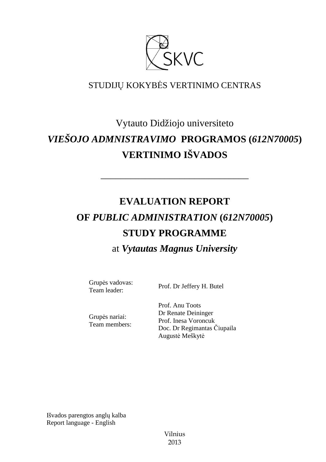

# STUDIJŲ KOKYBĖS VERTINIMO CENTRAS

# Vytauto Didžiojo universiteto *VIEŠOJO ADMNISTRAVIMO* **PROGRAMOS (***612N70005***) VERTINIMO IŠVADOS**

––––––––––––––––––––––––––––––

# **EVALUATION REPORT OF** *PUBLIC ADMINISTRATION* **(***612N70005***) STUDY PROGRAMME** at *Vytautas Magnus University*

Grupės vadovas:

Team leader: Prof. Dr Jeffery H. Butel

Grupės nariai: Team members: Prof. Anu Toots Dr Renate Deininger Prof. Inesa Voroncuk Doc. Dr Regimantas Čiupaila Augustė Meškytė

Išvados parengtos anglų kalba Report language - English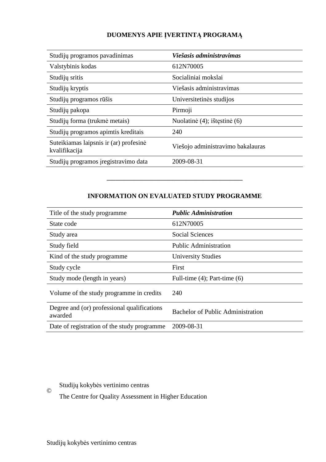# **DUOMENYS APIE ĮVERTINTĄ PROGRAMĄ**

| Studijų programos pavadinimas                           | Viešasis administravimas          |
|---------------------------------------------------------|-----------------------------------|
| Valstybinis kodas                                       | 612N70005                         |
| Studijų sritis                                          | Socialiniai mokslai               |
| Studijų kryptis                                         | Viešasis administravimas          |
| Studijų programos rūšis                                 | Universitetinės studijos          |
| Studijų pakopa                                          | Pirmoji                           |
| Studijų forma (trukmė metais)                           | Nuolatinė (4); ištęstinė (6)      |
| Studijų programos apimtis kreditais                     | 240                               |
| Suteikiamas laipsnis ir (ar) profesinė<br>kvalifikacija | Viešojo administravimo bakalauras |
| Studijų programos įregistravimo data                    | 2009-08-31                        |

# **INFORMATION ON EVALUATED STUDY PROGRAMME**

–––––––––––––––––––––––––––––––

| Title of the study programme                           | <b>Public Administration</b>             |
|--------------------------------------------------------|------------------------------------------|
| State code                                             | 612N70005                                |
| Study area                                             | <b>Social Sciences</b>                   |
| Study field                                            | <b>Public Administration</b>             |
| Kind of the study programme                            | <b>University Studies</b>                |
| Study cycle                                            | First                                    |
| Study mode (length in years)                           | Full-time $(4)$ ; Part-time $(6)$        |
| Volume of the study programme in credits               | 240                                      |
| Degree and (or) professional qualifications<br>awarded | <b>Bachelor of Public Administration</b> |
| Date of registration of the study programme            | 2009-08-31                               |

# Studijų kokybės vertinimo centras

The Centre for Quality Assessment in Higher Education

©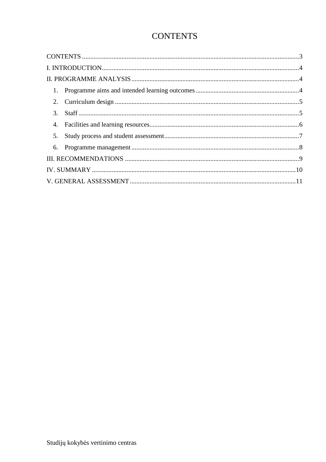# **CONTENTS**

| 5. |  |
|----|--|
|    |  |
|    |  |
|    |  |
|    |  |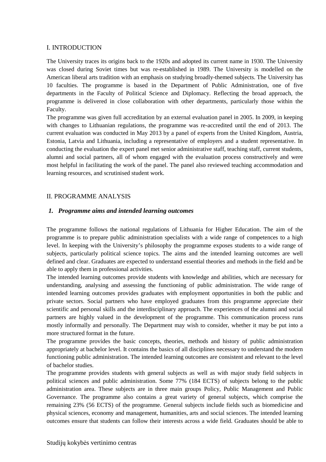### I. INTRODUCTION

The University traces its origins back to the 1920s and adopted its current name in 1930. The University was closed during Soviet times but was re-established in 1989. The University is modelled on the American liberal arts tradition with an emphasis on studying broadly-themed subjects. The University has 10 faculties. The programme is based in the Department of Public Administration, one of five departments in the Faculty of Political Science and Diplomacy. Reflecting the broad approach, the programme is delivered in close collaboration with other departments, particularly those within the Faculty.

The programme was given full accreditation by an external evaluation panel in 2005. In 2009, in keeping with changes to Lithuanian regulations, the programme was re-accredited until the end of 2013. The current evaluation was conducted in May 2013 by a panel of experts from the United Kingdom, Austria, Estonia, Latvia and Lithuania, including a representative of employers and a student representative. In conducting the evaluation the expert panel met senior administrative staff, teaching staff, current students, alumni and social partners, all of whom engaged with the evaluation process constructively and were most helpful in facilitating the work of the panel. The panel also reviewed teaching accommodation and learning resources, and scrutinised student work.

#### II. PROGRAMME ANALYSIS

#### *1. Programme aims and intended learning outcomes*

The programme follows the national regulations of Lithuania for Higher Education. The aim of the programme is to prepare public administration specialists with a wide range of competences to a high level. In keeping with the University's philosophy the programme exposes students to a wide range of subjects, particularly political science topics. The aims and the intended learning outcomes are well defined and clear. Graduates are expected to understand essential theories and methods in the field and be able to apply them in professional activities.

The intended learning outcomes provide students with knowledge and abilities, which are necessary for understanding, analysing and assessing the functioning of public administration. The wide range of intended learning outcomes provides graduates with employment opportunities in both the public and private sectors. Social partners who have employed graduates from this programme appreciate their scientific and personal skills and the interdisciplinary approach. The experiences of the alumni and social partners are highly valued in the development of the programme. This communication process runs mostly informally and personally. The Department may wish to consider, whether it may be put into a more structured format in the future.

The programme provides the basic concepts, theories, methods and history of public administration appropriately at bachelor level. It contains the basics of all disciplines necessary to understand the modern functioning public administration. The intended learning outcomes are consistent and relevant to the level of bachelor studies.

The programme provides students with general subjects as well as with major study field subjects in political sciences and public administration. Some 77% (184 ECTS) of subjects belong to the public administration area. These subjects are in three main groups Policy, Public Management and Public Governance. The programme also contains a great variety of general subjects, which comprise the remaining 23% (56 ECTS) of the programme. General subjects include fields such as biomedicine and physical sciences, economy and management, humanities, arts and social sciences. The intended learning outcomes ensure that students can follow their interests across a wide field. Graduates should be able to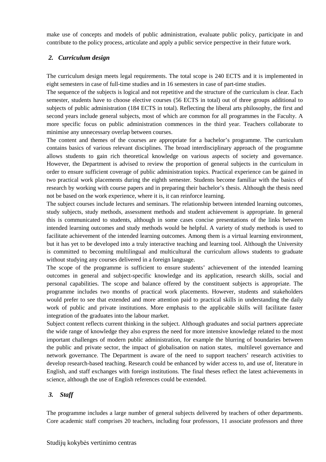make use of concepts and models of public administration, evaluate public policy, participate in and contribute to the policy process, articulate and apply a public service perspective in their future work.

## *2. Curriculum design*

The curriculum design meets legal requirements. The total scope is 240 ECTS and it is implemented in eight semesters in case of full-time studies and in 16 semesters in case of part-time studies.

The sequence of the subjects is logical and not repetitive and the structure of the curriculum is clear. Each semester, students have to choose elective courses (56 ECTS in total) out of three groups additional to subjects of public administration (184 ECTS in total). Reflecting the liberal arts philosophy, the first and second years include general subjects, most of which are common for all programmes in the Faculty. A more specific focus on public administration commences in the third year. Teachers collaborate to minimise any unnecessary overlap between courses.

The content and themes of the courses are appropriate for a bachelor's programme. The curriculum contains basics of various relevant disciplines. The broad interdisciplinary approach of the programme allows students to gain rich theoretical knowledge on various aspects of society and governance. However, the Department is advised to review the proportion of general subjects in the curriculum in order to ensure sufficient coverage of public administration topics. Practical experience can be gained in two practical work placements during the eighth semester. Students become familiar with the basics of research by working with course papers and in preparing their bachelor's thesis. Although the thesis need not be based on the work experience, where it is, it can reinforce learning.

The subject courses include lectures and seminars. The relationship between intended learning outcomes, study subjects, study methods, assessment methods and student achievement is appropriate. In general this is communicated to students, although in some cases concise presentations of the links between intended learning outcomes and study methods would be helpful. A variety of study methods is used to facilitate achievement of the intended learning outcomes. Among them is a virtual learning environment, but it has yet to be developed into a truly interactive teaching and learning tool. Although the University is committed to becoming multilingual and multicultural the curriculum allows students to graduate without studying any courses delivered in a foreign language.

The scope of the programme is sufficient to ensure students' achievement of the intended learning outcomes in general and subject-specific knowledge and its application, research skills, social and personal capabilities. The scope and balance offered by the constituent subjects is appropriate. The programme includes two months of practical work placements. However, students and stakeholders would prefer to see that extended and more attention paid to practical skills in understanding the daily work of public and private institutions. More emphasis to the applicable skills will facilitate faster integration of the graduates into the labour market.

Subject content reflects current thinking in the subject. Although graduates and social partners appreciate the wide range of knowledge they also express the need for more intensive knowledge related to the most important challenges of modern public administration, for example the blurring of boundaries between the public and private sector, the impact of globalisation on nation states, multilevel governance and network governance. The Department is aware of the need to support teachers' research activities to develop research-based teaching. Research could be enhanced by wider access to, and use of, literature in English, and staff exchanges with foreign institutions. The final theses reflect the latest achievements in science, although the use of English references could be extended.

### *3. Staff*

The programme includes a large number of general subjects delivered by teachers of other departments. Core academic staff comprises 20 teachers, including four professors, 11 associate professors and three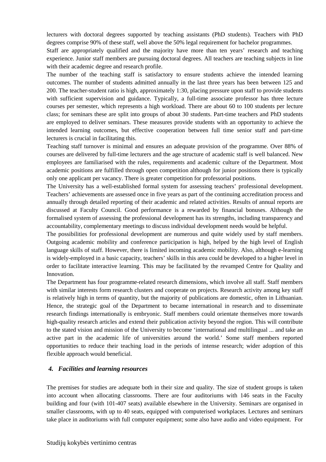lecturers with doctoral degrees supported by teaching assistants (PhD students). Teachers with PhD degrees comprise 90% of these staff, well above the 50% legal requirement for bachelor programmes.

Staff are appropriately qualified and the majority have more than ten years' research and teaching experience. Junior staff members are pursuing doctoral degrees. All teachers are teaching subjects in line with their academic degree and research profile.

The number of the teaching staff is satisfactory to ensure students achieve the intended learning outcomes. The number of students admitted annually in the last three years has been between 125 and 200. The teacher-student ratio is high, approximately 1:30, placing pressure upon staff to provide students with sufficient supervision and guidance. Typically, a full-time associate professor has three lecture courses per semester, which represents a high workload. There are about 60 to 100 students per lecture class; for seminars these are split into groups of about 30 students. Part-time teachers and PhD students are employed to deliver seminars. These measures provide students with an opportunity to achieve the intended learning outcomes, but effective cooperation between full time senior staff and part-time lecturers is crucial in facilitating this.

Teaching staff turnover is minimal and ensures an adequate provision of the programme. Over 88% of courses are delivered by full-time lecturers and the age structure of academic staff is well balanced. New employees are familiarised with the rules, requirements and academic culture of the Department. Most academic positions are fulfilled through open competition although for junior positions there is typically only one applicant per vacancy. There is greater competition for professorial positions.

The University has a well-established formal system for assessing teachers' professional development. Teachers' achievements are assessed once in five years as part of the continuing accreditation process and annually through detailed reporting of their academic and related activities. Results of annual reports are discussed at Faculty Council. Good performance is a rewarded by financial bonuses. Although the formalised system of assessing the professional development has its strengths, including transparency and accountability, complementary meetings to discuss individual development needs would be helpful.

The possibilities for professional development are numerous and quite widely used by staff members. Outgoing academic mobility and conference participation is high, helped by the high level of English language skills of staff. However, there is limited incoming academic mobility. Also, although e-learning is widely-employed in a basic capacity, teachers' skills in this area could be developed to a higher level in order to facilitate interactive learning. This may be facilitated by the revamped Centre for Quality and Innovation.

The Department has four programme-related research dimensions, which involve all staff. Staff members with similar interests form research clusters and cooperate on projects. Research activity among key staff is relatively high in terms of quantity, but the majority of publications are domestic, often in Lithuanian. Hence, the strategic goal of the Department to became international in research and to disseminate research findings internationally is embryonic. Staff members could orientate themselves more towards high-quality research articles and extend their publication activity beyond the region. This will contribute to the stated vision and mission of the University to become 'international and multilingual ... and take an active part in the academic life of universities around the world.' Some staff members reported opportunities to reduce their teaching load in the periods of intense research; wider adoption of this flexible approach would beneficial.

## *4. Facilities and learning resources*

The premises for studies are adequate both in their size and quality. The size of student groups is taken into account when allocating classrooms. There are four auditoriums with 146 seats in the Faculty building and four (with 101-407 seats) available elsewhere in the University. Seminars are organised in smaller classrooms, with up to 40 seats, equipped with computerised workplaces. Lectures and seminars take place in auditoriums with full computer equipment; some also have audio and video equipment. For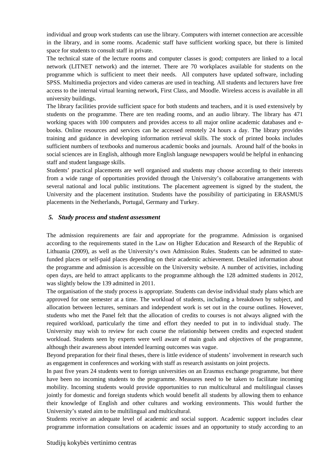individual and group work students can use the library. Computers with internet connection are accessible in the library, and in some rooms. Academic staff have sufficient working space, but there is limited space for students to consult staff in private.

The technical state of the lecture rooms and computer classes is good; computers are linked to a local network (LITNET network) and the internet. There are 70 workplaces available for students on the programme which is sufficient to meet their needs. All computers have updated software, including SPSS. Multimedia projectors and video cameras are used in teaching. All students and lecturers have free access to the internal virtual learning network, First Class, and Moodle. Wireless access is available in all university buildings.

The library facilities provide sufficient space for both students and teachers, and it is used extensively by students on the programme. There are ten reading rooms, and an audio library. The library has 471 working spaces with 100 computers and provides access to all major online academic databases and ebooks. Online resources and services can be accessed remotely 24 hours a day. The library provides training and guidance in developing information retrieval skills. The stock of printed books includes sufficient numbers of textbooks and numerous academic books and journals. Around half of the books in social sciences are in English, although more English language newspapers would be helpful in enhancing staff and student language skills.

Students' practical placements are well organised and students may choose according to their interests from a wide range of opportunities provided through the University's collaborative arrangements with several national and local public institutions. The placement agreement is signed by the student, the University and the placement institution. Students have the possibility of participating in ERASMUS placements in the Netherlands, Portugal, Germany and Turkey.

#### *5. Study process and student assessment*

The admission requirements are fair and appropriate for the programme. Admission is organised according to the requirements stated in the Law on Higher Education and Research of the Republic of Lithuania (2009), as well as the University's own Admission Rules. Students can be admitted to statefunded places or self-paid places depending on their academic achievement. Detailed information about the programme and admission is accessible on the University website. A number of activities, including open days, are held to attract applicants to the programme although the 128 admitted students in 2012, was slightly below the 139 admitted in 2011.

The organisation of the study process is appropriate. Students can devise individual study plans which are approved for one semester at a time. The workload of students, including a breakdown by subject, and allocation between lectures, seminars and independent work is set out in the course outlines. However, students who met the Panel felt that the allocation of credits to courses is not always aligned with the required workload, particularly the time and effort they needed to put in to individual study. The University may wish to review for each course the relationship between credits and expected student workload. Students seen by experts were well aware of main goals and objectives of the programme, although their awareness about intended learning outcomes was vague.

Beyond preparation for their final theses, there is little evidence of students' involvement in research such as engagement in conferences and working with staff as research assistants on joint projects.

In past five years 24 students went to foreign universities on an Erasmus exchange programme, but there have been no incoming students to the programme. Measures need to be taken to facilitate incoming mobility. Incoming students would provide opportunities to run multicultural and multilingual classes jointly for domestic and foreign students which would benefit all students by allowing them to enhance their knowledge of English and other cultures and working environments. This would further the University's stated aim to be multilingual and multicultural.

Students receive an adequate level of academic and social support. Academic support includes clear programme information consultations on academic issues and an opportunity to study according to an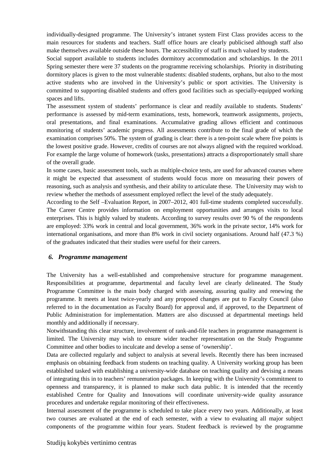individually-designed programme. The University's intranet system First Class provides access to the main resources for students and teachers. Staff office hours are clearly publicised although staff also make themselves available outside these hours. The accessibility of staff is much valued by students.

Social support available to students includes dormitory accommodation and scholarships. In the 2011 Spring semester there were 37 students on the programme receiving scholarships. Priority in distributing dormitory places is given to the most vulnerable students: disabled students, orphans, but also to the most active students who are involved in the University's public or sport activities. The University is committed to supporting disabled students and offers good facilities such as specially-equipped working spaces and lifts.

The assessment system of students' performance is clear and readily available to students. Students' performance is assessed by mid-term examinations, tests, homework, teamwork assignments, projects, oral presentations, and final examinations. Accumulative grading allows efficient and continuous monitoring of students' academic progress. All assessments contribute to the final grade of which the examination comprises 50%. The system of grading is clear: there is a ten-point scale where five points is the lowest positive grade. However, credits of courses are not always aligned with the required workload. For example the large volume of homework (tasks, presentations) attracts a disproportionately small share of the overall grade.

In some cases, basic assessment tools, such as multiple-choice tests, are used for advanced courses where it might be expected that assessment of students would focus more on measuring their powers of reasoning, such as analysis and synthesis, and their ability to articulate these. The University may wish to review whether the methods of assessment employed reflect the level of the study adequately.

According to the Self –Evaluation Report, in 2007–2012, 401 full-time students completed successfully. The Career Centre provides information on employment opportunities and arranges visits to local enterprises. This is highly valued by students. According to survey results over 90 % of the respondents are employed: 33% work in central and local government, 36% work in the private sector, 14% work for international organisations, and more than 8% work in civil society organisations. Around half (47.3 %) of the graduates indicated that their studies were useful for their careers.

#### *6. Programme management*

The University has a well-established and comprehensive structure for programme management. Responsibilities at programme, departmental and faculty level are clearly delineated. The Study Programme Committee is the main body charged with assessing, assuring quality and renewing the programme. It meets at least twice-yearly and any proposed changes are put to Faculty Council (also referred to in the documentation as Faculty Board) for approval and, if approved, to the Department of Public Administration for implementation. Matters are also discussed at departmental meetings held monthly and additionally if necessary.

Notwithstanding this clear structure, involvement of rank-and-file teachers in programme management is limited. The University may wish to ensure wider teacher representation on the Study Programme Committee and other bodies to inculcate and develop a sense of 'ownership'.

Data are collected regularly and subject to analysis at several levels. Recently there has been increased emphasis on obtaining feedback from students on teaching quality. A University working group has been established tasked with establishing a university-wide database on teaching quality and devising a means of integrating this in to teachers' remuneration packages. In keeping with the University's commitment to openness and transparency, it is planned to make such data public. It is intended that the recently established Centre for Quality and Innovations will coordinate university-wide quality assurance procedures and undertake regular monitoring of their effectiveness.

Internal assessment of the programme is scheduled to take place every two years. Additionally, at least two courses are evaluated at the end of each semester, with a view to evaluating all major subject components of the programme within four years. Student feedback is reviewed by the programme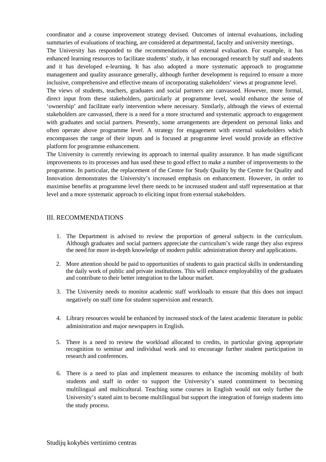coordinator and a course improvement strategy devised. Outcomes of internal evaluations, including summaries of evaluations of teaching, are considered at departmental, faculty and university meetings.

The University has responded to the recommendations of external evaluation. For example, it has enhanced learning resources to facilitate students' study, it has encouraged research by staff and students and it has developed e-learning. It has also adopted a more systematic approach to programme management and quality assurance generally, although further development is required to ensure a more inclusive, comprehensive and effective means of incorporating stakeholders' views at programme level.

The views of students, teachers, graduates and social partners are canvassed. However, more formal, direct input from these stakeholders, particularly at programme level, would enhance the sense of 'ownership' and facilitate early intervention where necessary. Similarly, although the views of external stakeholders are canvassed, there is a need for a more structured and systematic approach to engagement with graduates and social partners. Presently, some arrangements are dependent on personal links and often operate above programme level. A strategy for engagement with external stakeholders which encompasses the range of their inputs and is focused at programme level would provide an effective platform for programme enhancement.

The University is currently reviewing its approach to internal quality assurance. It has made significant improvements to its processes and has used these to good effect to make a number of improvements to the programme. In particular, the replacement of the Centre for Study Quality by the Centre for Quality and Innovation demonstrates the University's increased emphasis on enhancement. However, in order to maximise benefits at programme level there needs to be increased student and staff representation at that level and a more systematic approach to eliciting input from external stakeholders.

#### III. RECOMMENDATIONS

- 1. The Department is advised to review the proportion of general subjects in the curriculum. Although graduates and social partners appreciate the curriculum's wide range they also express the need for more in-depth knowledge of modern public administration theory and applications.
- 2. More attention should be paid to opportunities of students to gain practical skills in understanding the daily work of public and private institutions. This will enhance employability of the graduates and contribute to their better integration to the labour market.
- 3. The University needs to monitor academic staff workloads to ensure that this does not impact negatively on staff time for student supervision and research.
- 4. Library resources would be enhanced by increased stock of the latest academic literature in public administration and major newspapers in English.
- 5. There is a need to review the workload allocated to credits, in particular giving appropriate recognition to seminar and individual work and to encourage further student participation in research and conferences.
- 6. There is a need to plan and implement measures to enhance the incoming mobility of both students and staff in order to support the University's stated commitment to becoming multilingual and multicultural. Teaching some courses in English would not only further the University's stated aim to become multilingual but support the integration of foreign students into the study process.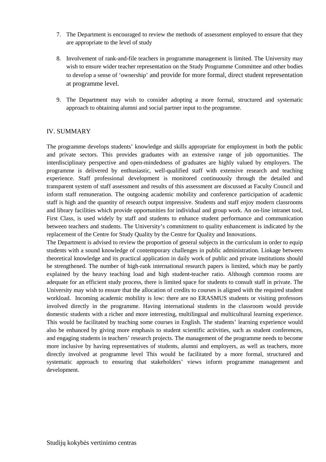- 7. The Department is encouraged to review the methods of assessment employed to ensure that they are appropriate to the level of study
- 8. Involvement of rank-and-file teachers in programme management is limited. The University may wish to ensure wider teacher representation on the Study Programme Committee and other bodies to develop a sense of 'ownership' and provide for more formal, direct student representation at programme level.
- 9. The Department may wish to consider adopting a more formal, structured and systematic approach to obtaining alumni and social partner input to the programme.

### IV. SUMMARY

The programme develops students' knowledge and skills appropriate for employment in both the public and private sectors. This provides graduates with an extensive range of job opportunities. The interdisciplinary perspective and open-mindedness of graduates are highly valued by employers. The programme is delivered by enthusiastic, well-qualified staff with extensive research and teaching experience. Staff professional development is monitored continuously through the detailed and transparent system of staff assessment and results of this assessment are discussed at Faculty Council and inform staff remuneration. The outgoing academic mobility and conference participation of academic staff is high and the quantity of research output impressive. Students and staff enjoy modern classrooms and library facilities which provide opportunities for individual and group work. An on-line intranet tool, First Class, is used widely by staff and students to enhance student performance and communication between teachers and students. The University's commitment to quality enhancement is indicated by the replacement of the Centre for Study Quality by the Centre for Quality and Innovations.

The Department is advised to review the proportion of general subjects in the curriculum in order to equip students with a sound knowledge of contemporary challenges in public administration. Linkage between theoretical knowledge and its practical application in daily work of public and private institutions should be strengthened. The number of high-rank international research papers is limited, which may be partly explained by the heavy teaching load and high student-teacher ratio. Although common rooms are adequate for an efficient study process, there is limited space for students to consult staff in private. The University may wish to ensure that the allocation of credits to courses is aligned with the required student workload. Incoming academic mobility is low: there are no ERASMUS students or visiting professors involved directly in the programme. Having international students in the classroom would provide domestic students with a richer and more interesting, multilingual and multicultural learning experience. This would be facilitated by teaching some courses in English. The students' learning experience would also be enhanced by giving more emphasis to student scientific activities, such as student conferences, and engaging students in teachers' research projects. The management of the programme needs to become more inclusive by having representatives of students, alumni and employers, as well as teachers, more directly involved at programme level This would be facilitated by a more formal, structured and systematic approach to ensuring that stakeholders' views inform programme management and development.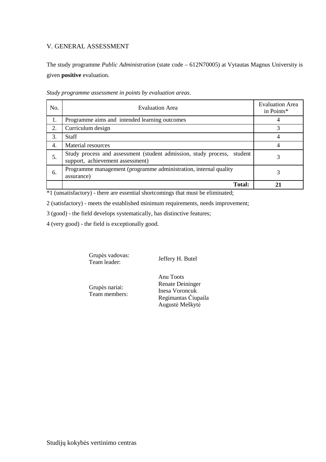# V. GENERAL ASSESSMENT

The study programme *Public Administration* (state code – 612N70005) at Vytautas Magnus University is given **positive** evaluation.

| No. | <b>Evaluation Area</b>                                                                                         | <b>Evaluation Area</b><br>in Points* |
|-----|----------------------------------------------------------------------------------------------------------------|--------------------------------------|
| 1.  | Programme aims and intended learning outcomes                                                                  |                                      |
| 2.  | Curriculum design                                                                                              |                                      |
| 3.  | <b>Staff</b>                                                                                                   |                                      |
| 4.  | Material resources                                                                                             |                                      |
| 5.  | Study process and assessment (student admission, study process,<br>student<br>support, achievement assessment) |                                      |
| 6.  | Programme management (programme administration, internal quality<br>assurance)                                 |                                      |
|     | <b>Total:</b>                                                                                                  |                                      |

*Study programme assessment in points by evaluation areas*.

 $*1$  (unsatisfactory) - there are essential shortcomings that must be eliminated;

2 (satisfactory) - meets the established minimum requirements, needs improvement;

3 (good) - the field develops systematically, has distinctive features;

4 (very good) - the field is exceptionally good.

Grupės vadovas:<br>Team leader:

Jeffery H. Butel

Grupės nariai: Team members: Anu Toots Renate Deininger Inesa Voroncuk Regimantas Čiupaila Augustė Meškytė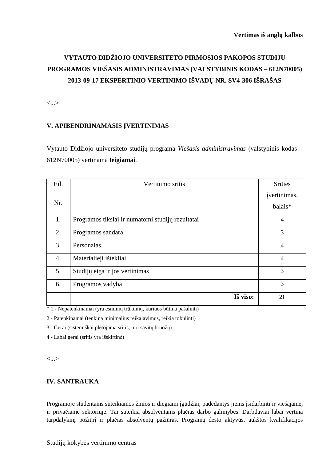# **VYTAUTO DIDŽIOJO UNIVERSITETO PIRMOSIOS PAKOPOS STUDIJŲ PROGRAMOS VIEŠASIS ADMINISTRAVIMAS (VALSTYBINIS KODAS – 612N70005) 2013-09-17 EKSPERTINIO VERTINIMO IŠVADŲ NR. SV4-306 IŠRAŠAS**

<...>

# **V. APIBENDRINAMASIS ĮVERTINIMAS**

Vytauto Didžiojo universiteto studijų programa *Viešasis administravimas* (valstybinis kodas – 612N70005) vertinama **teigiamai**.

| Eil.             | Vertinimo sritis                                 | <b>Srities</b>          |
|------------------|--------------------------------------------------|-------------------------|
| Nr.              |                                                  | jvertinimas,<br>balais* |
| 1.               | Programos tikslai ir numatomi studijų rezultatai | $\overline{4}$          |
| 2.               | Programos sandara                                | 3                       |
| 3.               | Personalas                                       | $\overline{4}$          |
| $\overline{4}$ . | Materialieji ištekliai                           | $\overline{4}$          |
| 5.               | Studijų eiga ir jos vertinimas                   | 3                       |
| 6.               | Programos vadyba                                 | 3                       |
|                  | Iš viso:                                         | 21                      |

\* 1 - Nepatenkinamai (yra esminių trūkumų, kuriuos būtina pašalinti)

2 - Patenkinamai (tenkina minimalius reikalavimus, reikia tobulinti)

3 - Gerai (sistemiškai plėtojama sritis, turi savitų bruožų)

4 - Labai gerai (sritis yra išskirtinė)

<...>

# **IV. SANTRAUKA**

Programoje studentams suteikiamos žinios ir diegiami įgūdžiai, padedantys jiems įsidarbinti ir viešajame, ir privačiame sektoriuje. Tai suteikia absolventams plačias darbo galimybes. Darbdaviai labai vertina tarpdalykinį požiūrį ir plačias absolventų pažiūras. Programą dėsto aktyvūs, aukštos kvalifikacijos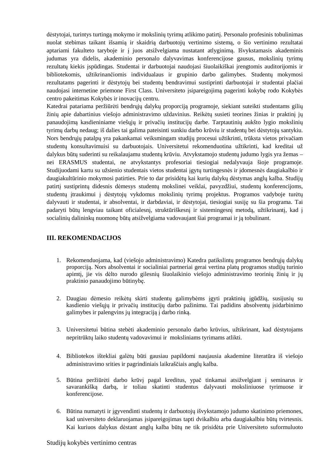dėstytojai, turintys turtingą mokymo ir mokslinių tyrimų atlikimo patirtį. Personalo profesinis tobulinimas nuolat stebimas taikant išsamią ir skaidrią darbuotojų vertinimo sistemą, o šio vertinimo rezultatai aptariami fakulteto taryboje ir į juos atsižvelgiama nustatant atlyginimą. Išvykstamasis akademinis judumas yra didelis, akademinio personalo dalyvavimas konferencijose gausus, mokslinių tyrimų rezultatų kiekis įspūdingas. Studentai ir darbuotojai naudojasi šiuolaikiškai įrengtomis auditorijomis ir bibliotekomis, užtikrinančiomis individualaus ir grupinio darbo galimybes. Studentų mokymosi rezultatams pagerinti ir dėstytojų bei studentų bendravimui sustiprinti darbuotojai ir studentai plačiai naudojasi internetine priemone First Class. Universiteto įsipareigojimą pagerinti kokybę rodo Kokybės centro pakeitimas Kokybės ir inovacijų centru.

Katedrai patariama peržiūrėti bendrųjų dalykų proporciją programoje, siekiant suteikti studentams gilių žinių apie dabartinius viešojo administravimo uždavinius. Reikėtų susieti teorines žinias ir praktinį jų panaudojimą kasdieniniame viešųjų ir privačių institucijų darbe. Tarptautinių aukšto lygio mokslinių tyrimų darbų nedaug; iš dalies tai galima pateisinti sunkiu darbo krūviu ir studentų bei dėstytojų santykiu. Nors bendrųjų patalpų yra pakankamai veiksmingam studijų procesui užtikrinti, trūksta vietos privačiam studentų konsultavimuisi su darbuotojais. Universitetui rekomenduotina užtikrinti, kad kreditai už dalykus būtų suderinti su reikalaujamu studentų krūviu. Atvykstamojo studentų judumo lygis yra žemas – nei ERASMUS studentai, ne atvykstantys profesoriai tiesiogiai nedalyvauja šioje programoje. Studijuodami kartu su užsienio studentais vietos studentai įgytų turtingesnės ir įdomesnės daugiakalbio ir daugiakultūrinio mokymosi patirties. Prie to dar prisidėtų kai kurių dalykų dėstymas anglų kalba. Studijų patirtį sustiprintų didesnis dėmesys studentų mokslinei veiklai, pavyzdžiui, studentų konferencijoms, studentų įtraukimui į dėstytojų vykdomus mokslinių tyrimų projektus. Programos vadyboje turėtų dalyvauti ir studentai, ir absolventai, ir darbdaviai, ir dėstytojai, tiesiogiai susiję su šia programa. Tai padaryti būtų lengviau taikant oficialesnį, struktūriškesnį ir sistemingesnį metodą, užtikrinantį, kad į socialinių dalininkų nuomonę būtų atsižvelgiama vadovaujant šiai programai ir ją tobulinant.

### **III. REKOMENDACIJOS**

- 1. Rekomenduojama, kad (viešojo administravimo) Katedra patikslintų programos bendrųjų dalykų proporciją. Nors absolventai ir socialiniai partneriai gerai vertina platų programos studijų turinio apimtį, jie vis dėlto nurodo gilesnių šiuolaikinio viešojo administravimo teorinių žinių ir jų praktinio panaudojimo būtinybę.
- 2. Daugiau dėmesio reikėtų skirti studentų galimybėms įgyti praktinių įgūdžių, susijusių su kasdienio viešųjų ir privačių institucijų darbo pažinimu. Tai padidins absolventų įsidarbinimo galimybes ir palengvins jų integraciją į darbo rinką.
- 3. Universitetui būtina stebėti akademinio personalo darbo krūvius, užtikrinant, kad dėstytojams nepritrūktų laiko studentų vadovavimui ir moksliniams tyrimams atlikti.
- 4. Bibliotekos ištekliai galėtų būti gausiau papildomi naujausia akademine literatūra iš viešojo administravimo srities ir pagrindiniais laikraščiais anglų kalba.
- 5. Būtina peržiūrėti darbo krūvį pagal kreditus, ypač tinkamai atsižvelgiant į seminarus ir savarankišką darbą, ir toliau skatinti studentus dalyvauti moksliniuose tyrimuose ir konferencijose.
- 6. Būtina numatyti ir įgyvendinti studentų ir darbuotojų išvykstamojo judumo skatinimo priemones, kad universiteto deklaruojamas įsipareigojimas tapti dvikalbiu arba daugiakalbiu būtų tvirtesnis. Kai kuriuos dalykus dėstant anglų kalba būtų ne tik prisidėta prie Universiteto suformuluoto